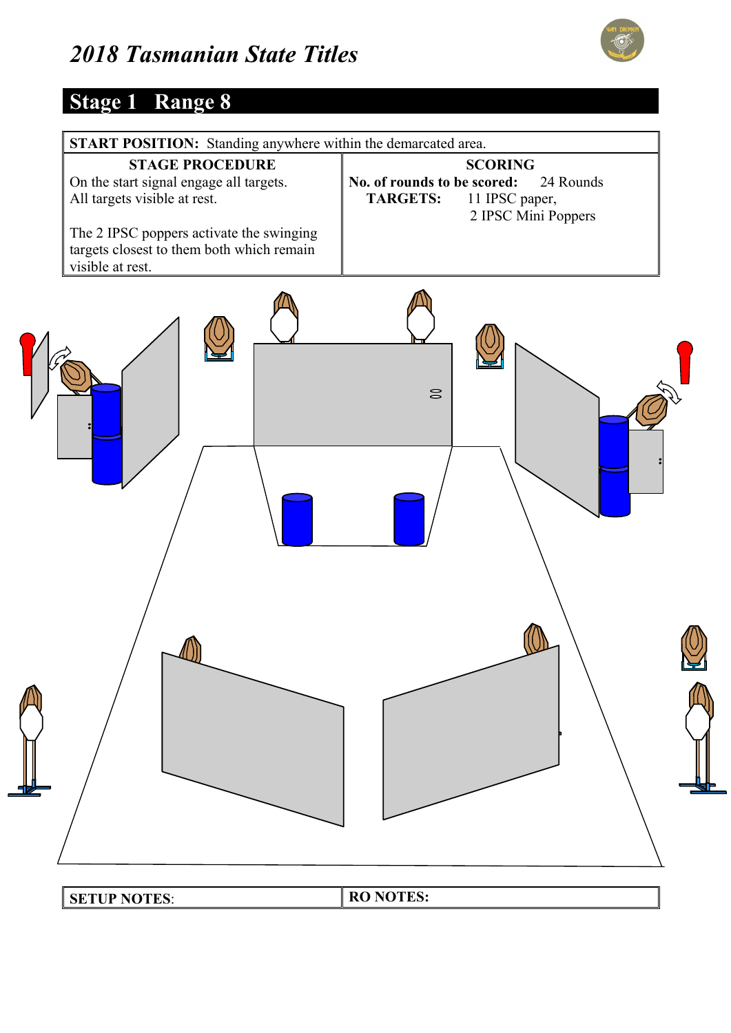

#### **Stage 1 Range 8**

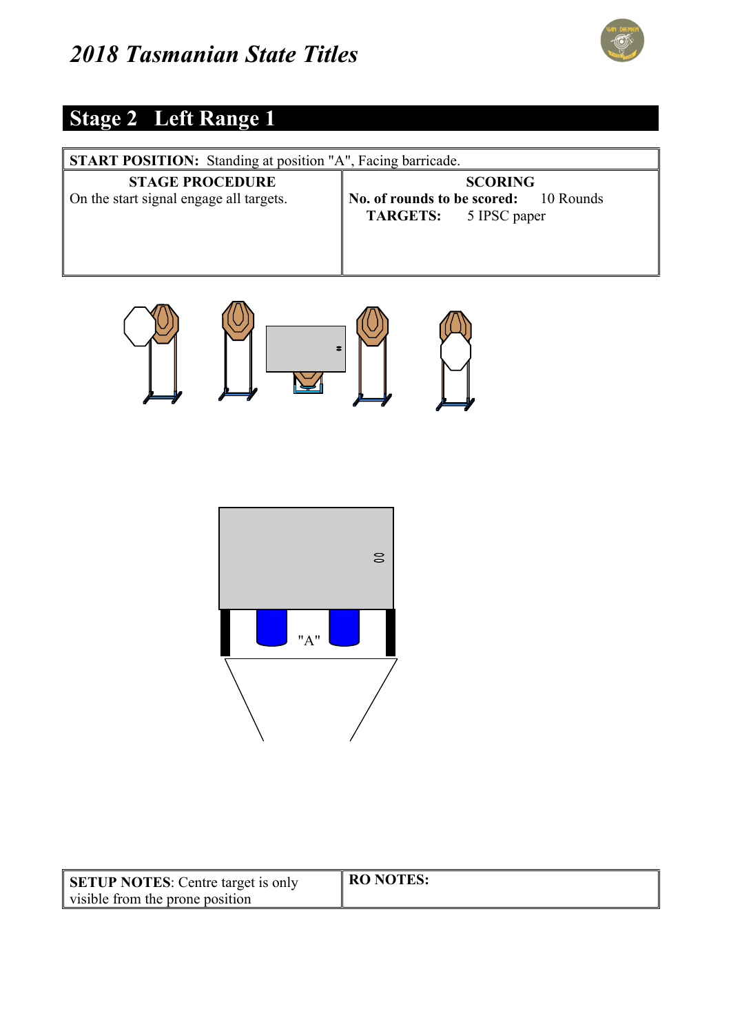

#### **Stage 2 Left Range 1**

| <b>START POSITION:</b> Standing at position "A", Facing barricade. |                                                                                         |
|--------------------------------------------------------------------|-----------------------------------------------------------------------------------------|
| <b>STAGE PROCEDURE</b><br>On the start signal engage all targets.  | <b>SCORING</b><br>No. of rounds to be scored: 10 Rounds<br><b>TARGETS:</b> 5 IPSC paper |





| <b>SETUP NOTES:</b> Centre target is only | <b>RO NOTES:</b> |
|-------------------------------------------|------------------|
| visible from the prone position           |                  |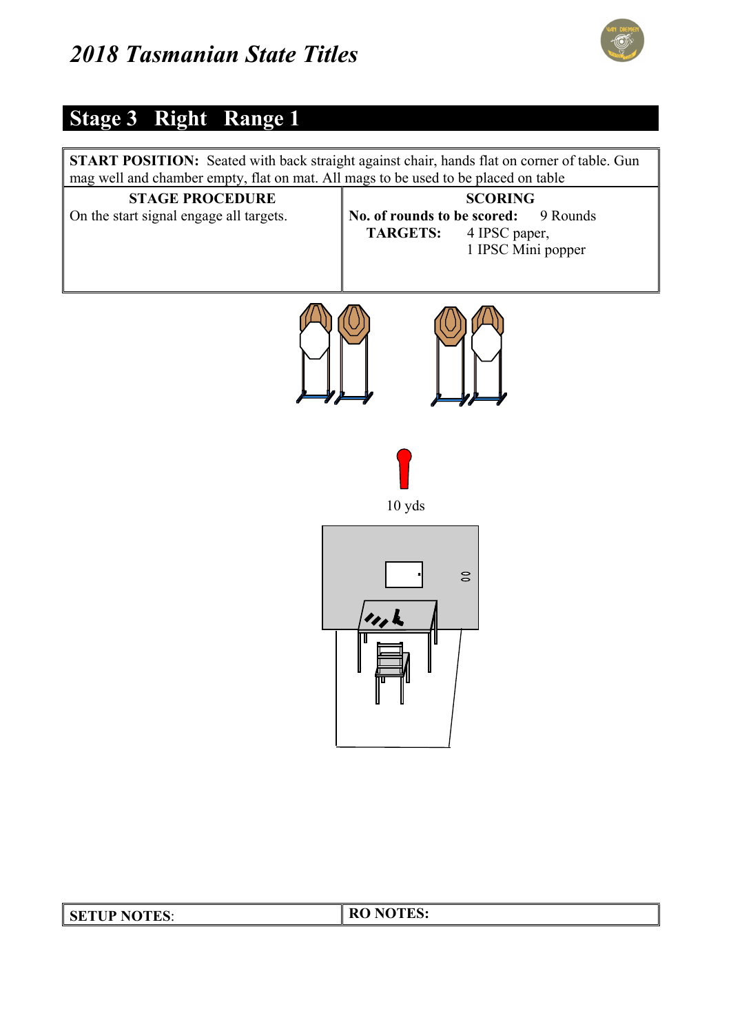

#### **Stage 3 Right Range 1**



| <b>SETUP NOTES:</b> | <b>RO NOTES:</b> |
|---------------------|------------------|
|                     |                  |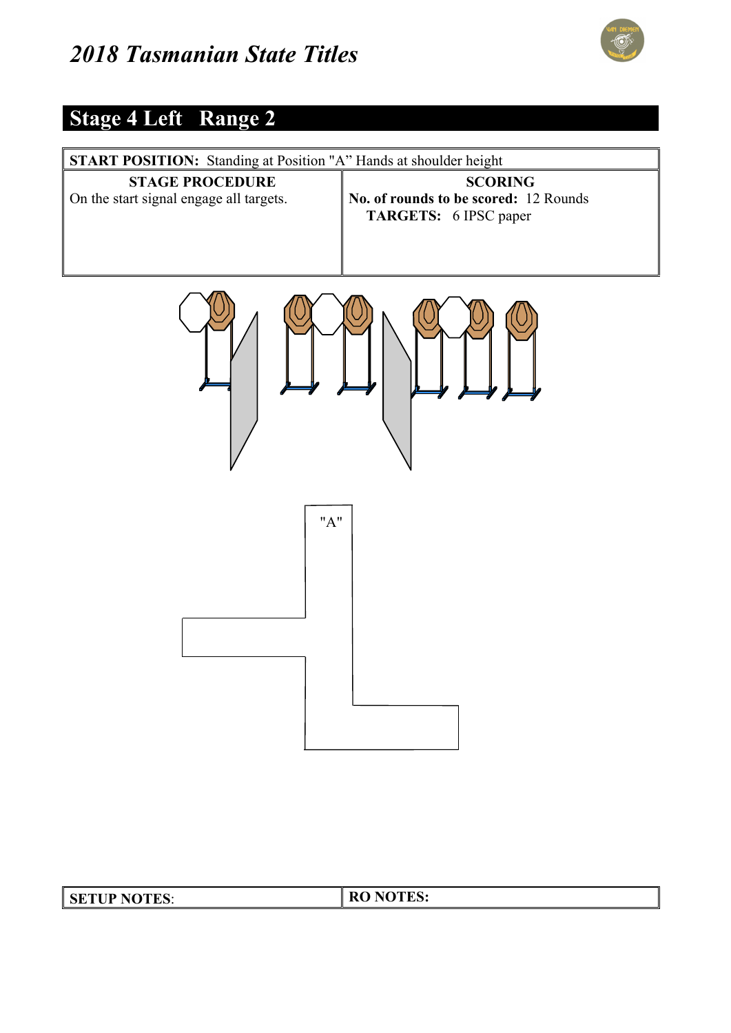

# **Stage 4 Left Range 2**

| <b>START POSITION:</b> Standing at Position "A" Hands at shoulder height |                                                                                  |
|--------------------------------------------------------------------------|----------------------------------------------------------------------------------|
| <b>STAGE PROCEDURE</b><br>On the start signal engage all targets.        | <b>SCORING</b><br>No. of rounds to be scored: 12 Rounds<br>TARGETS: 6 IPSC paper |
|                                                                          |                                                                                  |
| "A"                                                                      |                                                                                  |

| <b>SETUP NOTES:</b> | <b>RO NOTES:</b> |
|---------------------|------------------|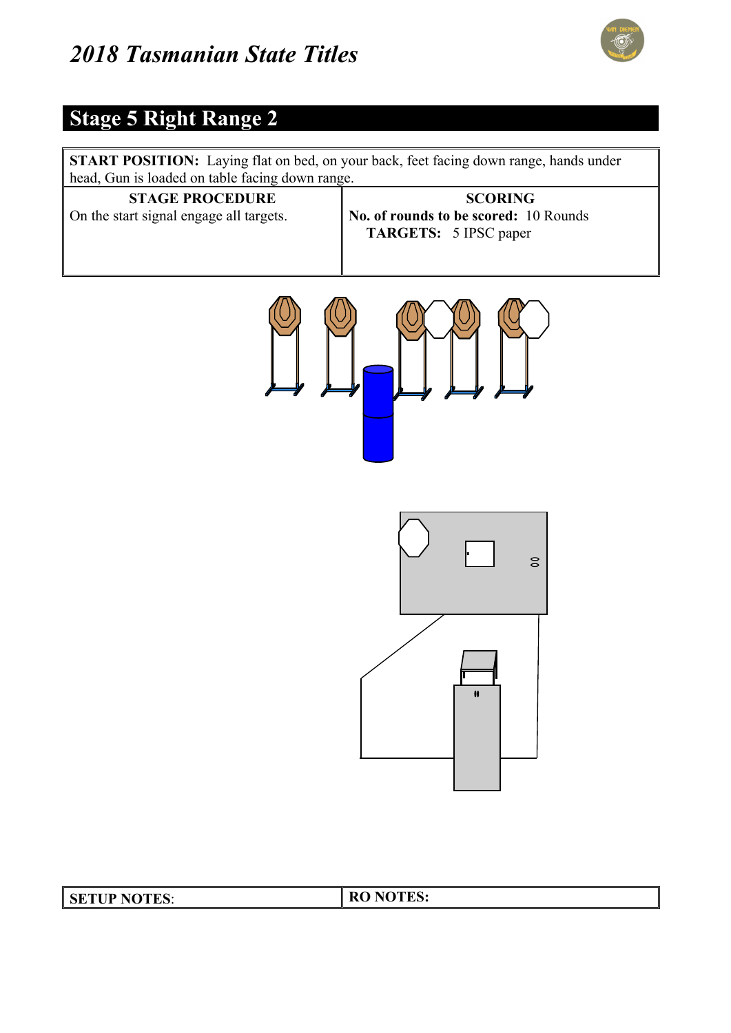

#### **Stage 5 Right Range 2**

**START POSITION:** Laying flat on bed, on your back, feet facing down range, hands under head, Gun is loaded on table facing down range.

| <b>STAGE PROCEDURE</b>                  | <b>SCORING</b>                                                        |
|-----------------------------------------|-----------------------------------------------------------------------|
| On the start signal engage all targets. | No. of rounds to be scored: 10 Rounds<br><b>TARGETS:</b> 5 IPSC paper |
|                                         |                                                                       |





| <b>SETUP NOTES:</b> | <b>RO NOTES:</b> |
|---------------------|------------------|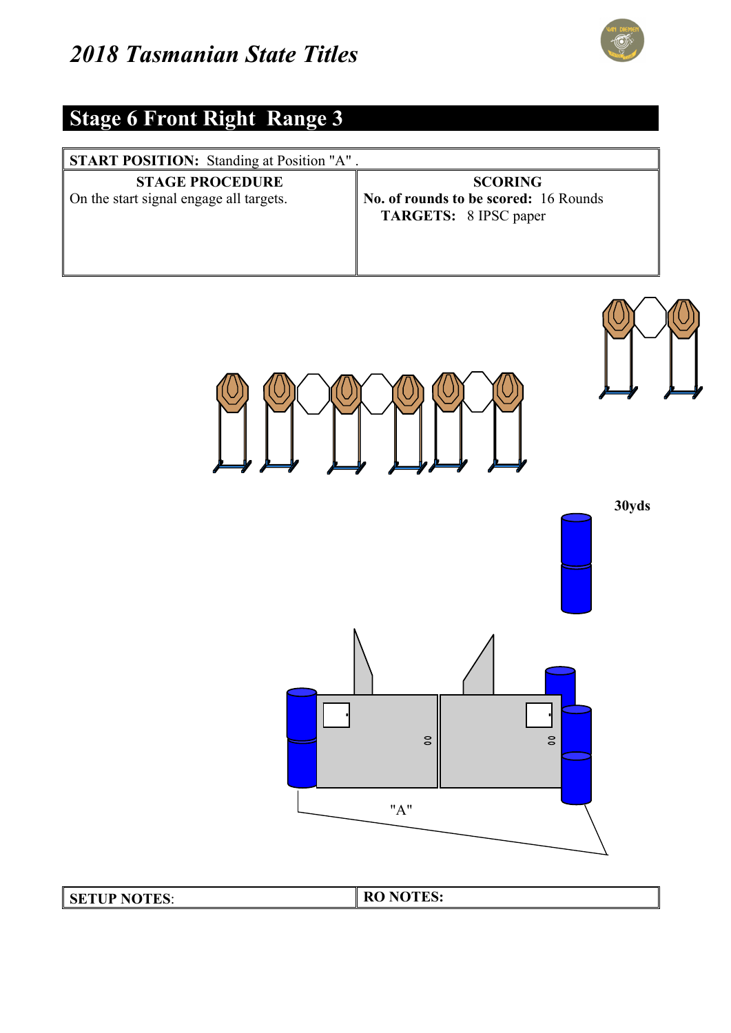

# **Stage 6 Front Right Range 3**

| <b>START POSITION:</b> Standing at Position "A".                  |                                                                                         |
|-------------------------------------------------------------------|-----------------------------------------------------------------------------------------|
| <b>STAGE PROCEDURE</b><br>On the start signal engage all targets. | <b>SCORING</b><br>No. of rounds to be scored: 16 Rounds<br><b>TARGETS:</b> 8 IPSC paper |



| <b>SETUP NOTES:</b> | <b>RO NOTES:</b> |
|---------------------|------------------|
|---------------------|------------------|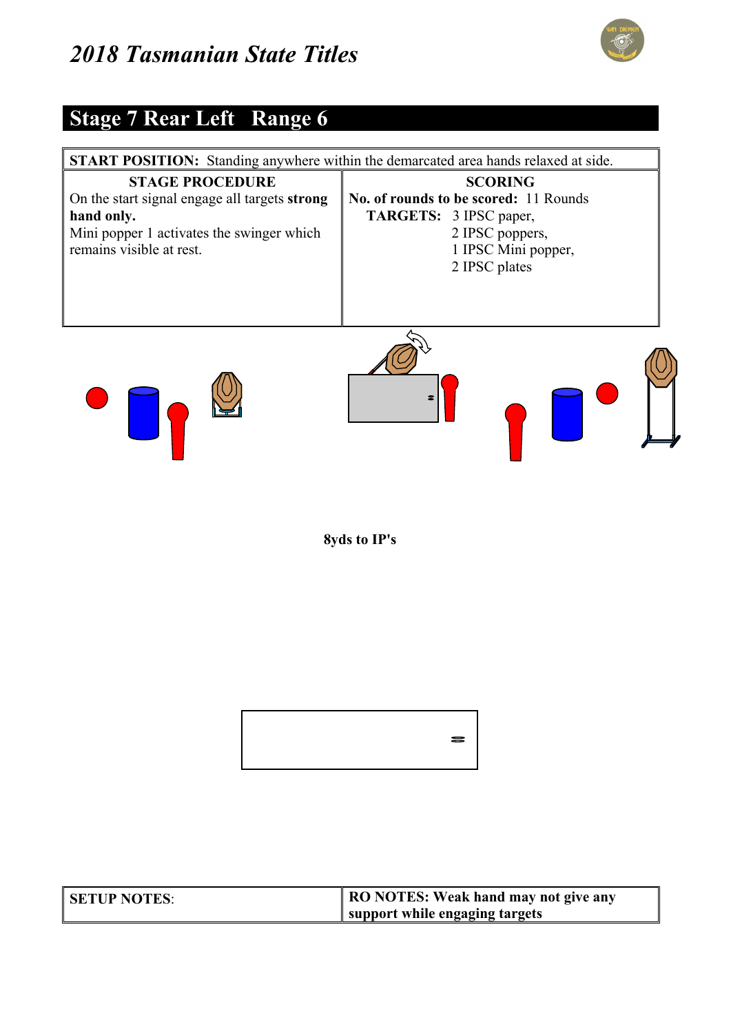

#### **Stage 7 Rear Left Range 6**



**8yds to IP's** 



| <b>SETUP NOTES:</b> | RO NOTES: Weak hand may not give any |
|---------------------|--------------------------------------|
|                     | support while engaging targets       |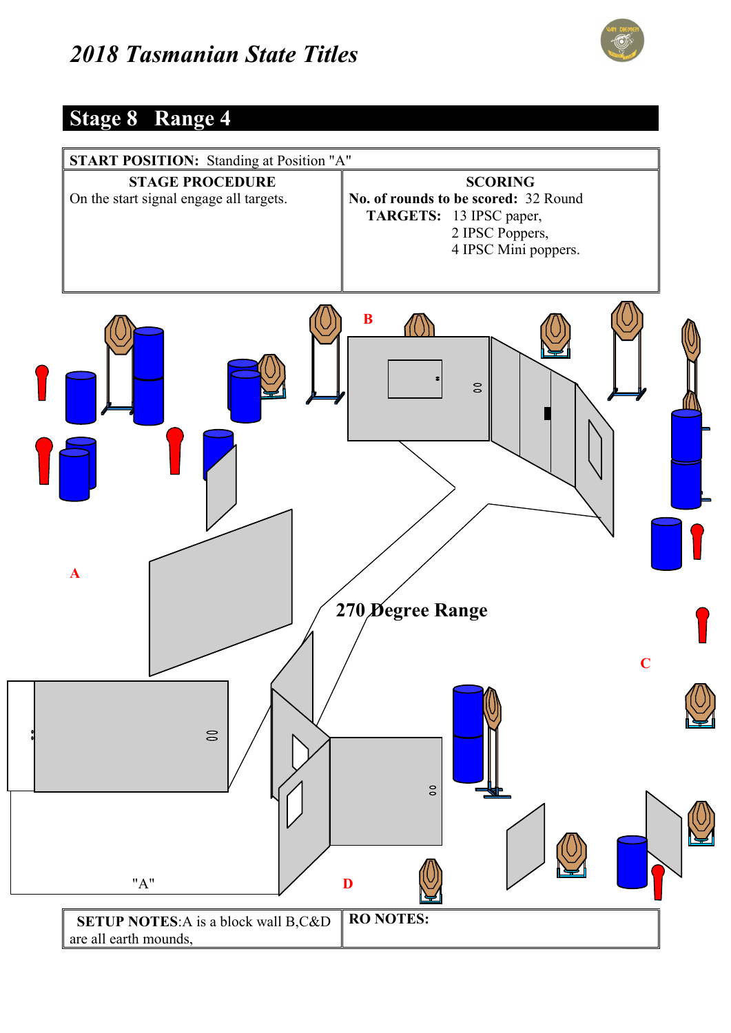

#### **Stage 8 Range 4**

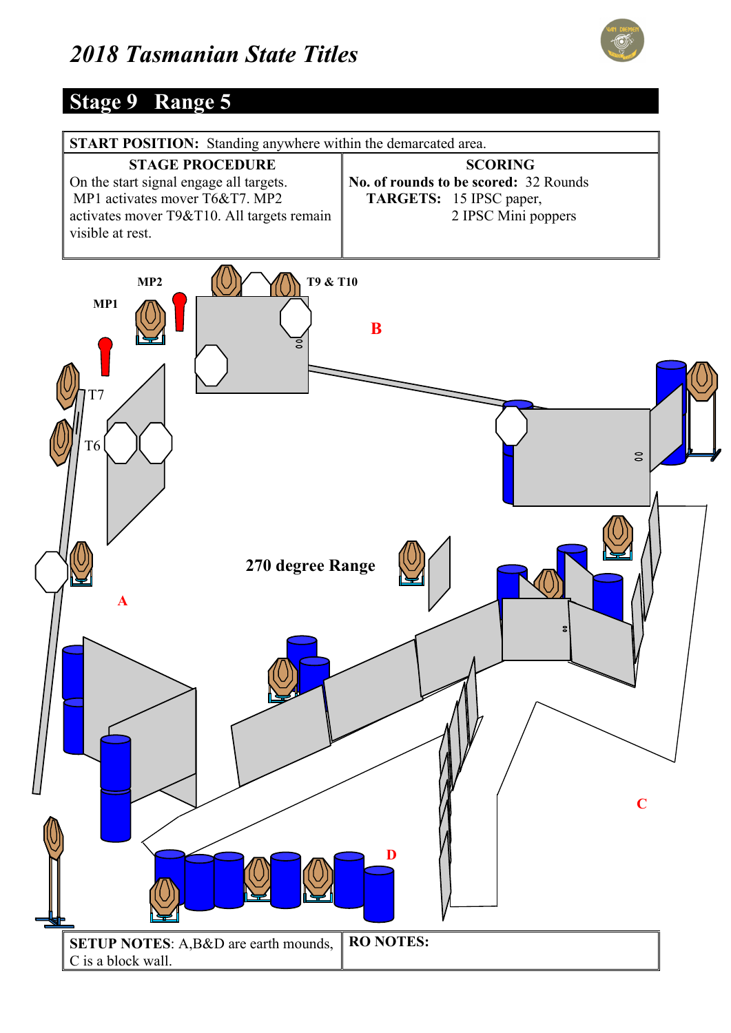

#### **Stage 9 Range 5**

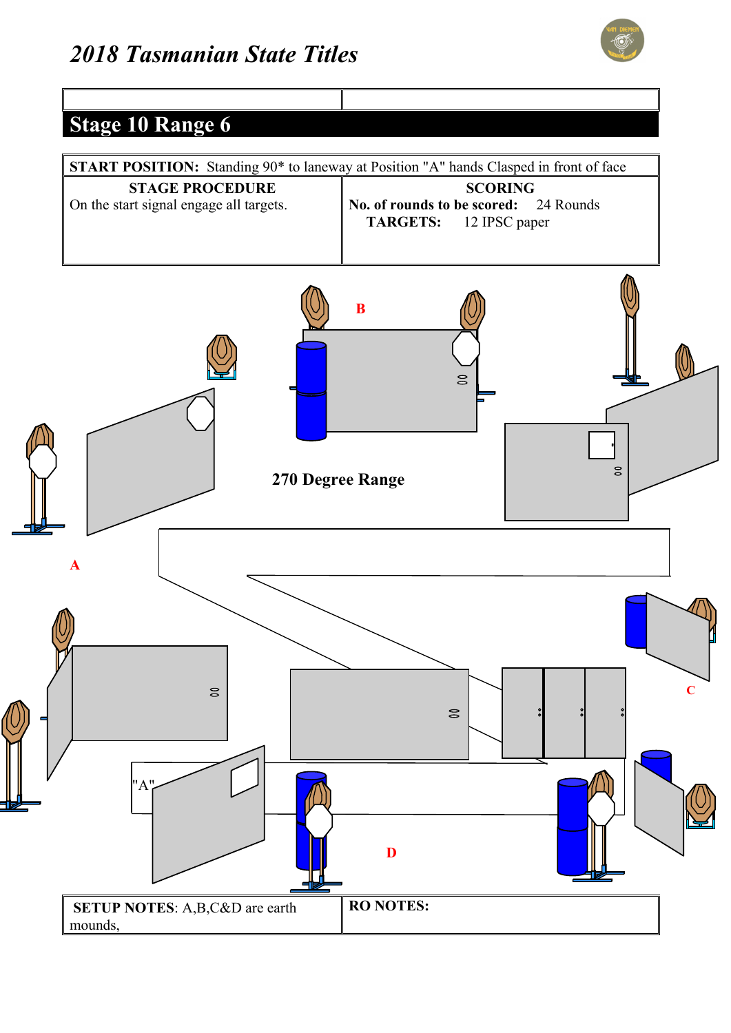

#### **Stage 10 Range 6**

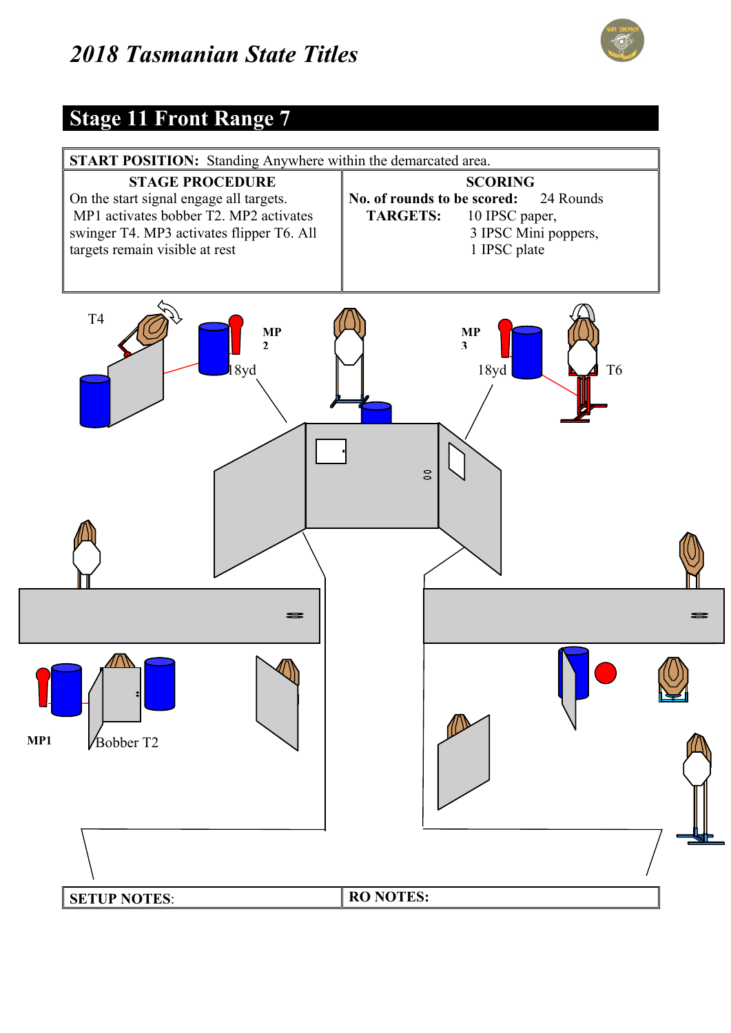

#### **Stage 11 Front Range 7**